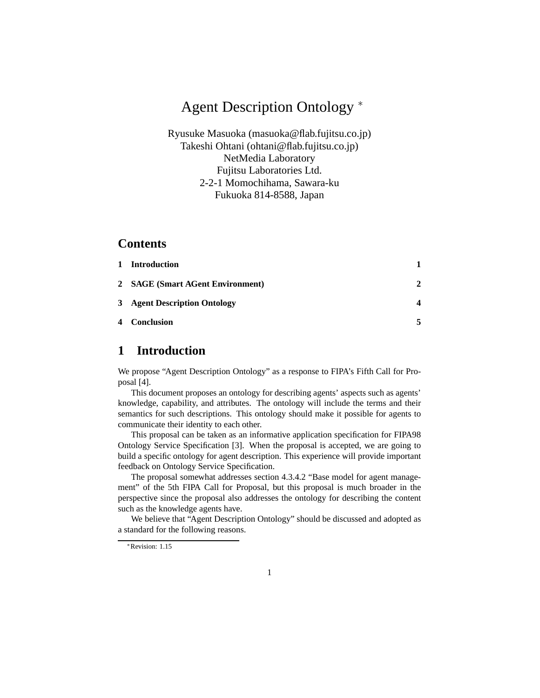# Agent Description Ontology <sup>∗</sup>

Ryusuke Masuoka (masuoka@flab.fujitsu.co.jp) Takeshi Ohtani (ohtani@flab.fujitsu.co.jp) NetMedia Laboratory Fujitsu Laboratories Ltd. 2-2-1 Momochihama, Sawara-ku Fukuoka 814-8588, Japan

#### **Contents**

| 1 Introduction                   |   |
|----------------------------------|---|
| 2 SAGE (Smart AGent Environment) | 2 |
| 3 Agent Description Ontology     |   |
| 4 Conclusion                     |   |

# **1 Introduction**

We propose "Agent Description Ontology" as a response to FIPA's Fifth Call for Proposal [4].

This document proposes an ontology for describing agents' aspects such as agents' knowledge, capability, and attributes. The ontology will include the terms and their semantics for such descriptions. This ontology should make it possible for agents to communicate their identity to each other.

This proposal can be taken as an informative application specification for FIPA98 Ontology Service Specification [3]. When the proposal is accepted, we are going to build a specific ontology for agent description. This experience will provide important feedback on Ontology Service Specification.

The proposal somewhat addresses section 4.3.4.2 "Base model for agent management" of the 5th FIPA Call for Proposal, but this proposal is much broader in the perspective since the proposal also addresses the ontology for describing the content such as the knowledge agents have.

We believe that "Agent Description Ontology" should be discussed and adopted as a standard for the following reasons.

<sup>∗</sup>Revision: 1.15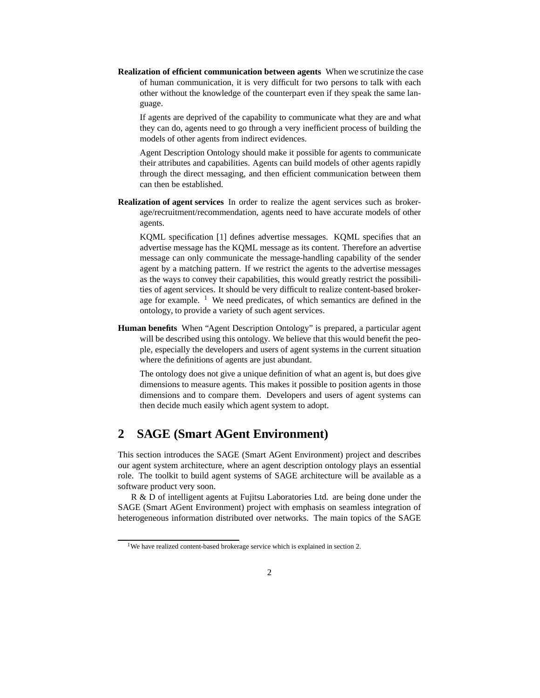**Realization of efficient communication between agents** When we scrutinize the case of human communication, it is very difficult for two persons to talk with each other without the knowledge of the counterpart even if they speak the same language.

If agents are deprived of the capability to communicate what they are and what they can do, agents need to go through a very inefficient process of building the models of other agents from indirect evidences.

Agent Description Ontology should make it possible for agents to communicate their attributes and capabilities. Agents can build models of other agents rapidly through the direct messaging, and then efficient communication between them can then be established.

**Realization of agent services** In order to realize the agent services such as brokerage/recruitment/recommendation, agents need to have accurate models of other agents.

KQML specification [1] defines advertise messages. KQML specifies that an advertise message has the KQML message as its content. Therefore an advertise message can only communicate the message-handling capability of the sender agent by a matching pattern. If we restrict the agents to the advertise messages as the ways to convey their capabilities, this would greatly restrict the possibilities of agent services. It should be very difficult to realize content-based brokerage for example.  $\frac{1}{1}$  We need predicates, of which semantics are defined in the ontology, to provide a variety of such agent services.

**Human benefits** When "Agent Description Ontology" is prepared, a particular agent will be described using this ontology. We believe that this would benefit the people, especially the developers and users of agent systems in the current situation where the definitions of agents are just abundant.

The ontology does not give a unique definition of what an agent is, but does give dimensions to measure agents. This makes it possible to position agents in those dimensions and to compare them. Developers and users of agent systems can then decide much easily which agent system to adopt.

## **2 SAGE (Smart AGent Environment)**

This section introduces the SAGE (Smart AGent Environment) project and describes our agent system architecture, where an agent description ontology plays an essential role. The toolkit to build agent systems of SAGE architecture will be available as a software product very soon.

R & D of intelligent agents at Fujitsu Laboratories Ltd. are being done under the SAGE (Smart AGent Environment) project with emphasis on seamless integration of heterogeneous information distributed over networks. The main topics of the SAGE

<sup>&</sup>lt;sup>1</sup>We have realized content-based brokerage service which is explained in section 2.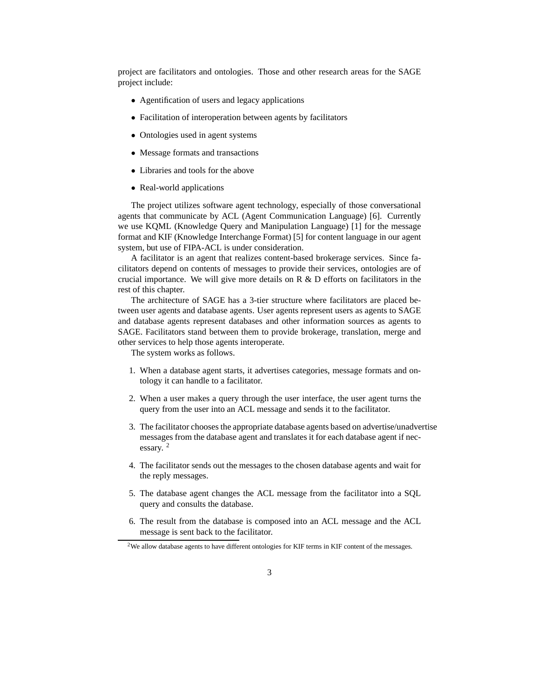project are facilitators and ontologies. Those and other research areas for the SAGE project include:

- Agentification of users and legacy applications
- Facilitation of interoperation between agents by facilitators
- Ontologies used in agent systems
- Message formats and transactions
- Libraries and tools for the above
- Real-world applications

The project utilizes software agent technology, especially of those conversational agents that communicate by ACL (Agent Communication Language) [6]. Currently we use KQML (Knowledge Query and Manipulation Language) [1] for the message format and KIF (Knowledge Interchange Format) [5] for content language in our agent system, but use of FIPA-ACL is under consideration.

A facilitator is an agent that realizes content-based brokerage services. Since facilitators depend on contents of messages to provide their services, ontologies are of crucial importance. We will give more details on R & D efforts on facilitators in the rest of this chapter.

The architecture of SAGE has a 3-tier structure where facilitators are placed between user agents and database agents. User agents represent users as agents to SAGE and database agents represent databases and other information sources as agents to SAGE. Facilitators stand between them to provide brokerage, translation, merge and other services to help those agents interoperate.

The system works as follows.

- 1. When a database agent starts, it advertises categories, message formats and ontology it can handle to a facilitator.
- 2. When a user makes a query through the user interface, the user agent turns the query from the user into an ACL message and sends it to the facilitator.
- 3. The facilitator chooses the appropriate database agents based on advertise/unadvertise messages from the database agent and translates it for each database agent if necessary. <sup>2</sup>
- 4. The facilitator sends out the messages to the chosen database agents and wait for the reply messages.
- 5. The database agent changes the ACL message from the facilitator into a SQL query and consults the database.
- 6. The result from the database is composed into an ACL message and the ACL message is sent back to the facilitator.

<sup>&</sup>lt;sup>2</sup>We allow database agents to have different ontologies for KIF terms in KIF content of the messages.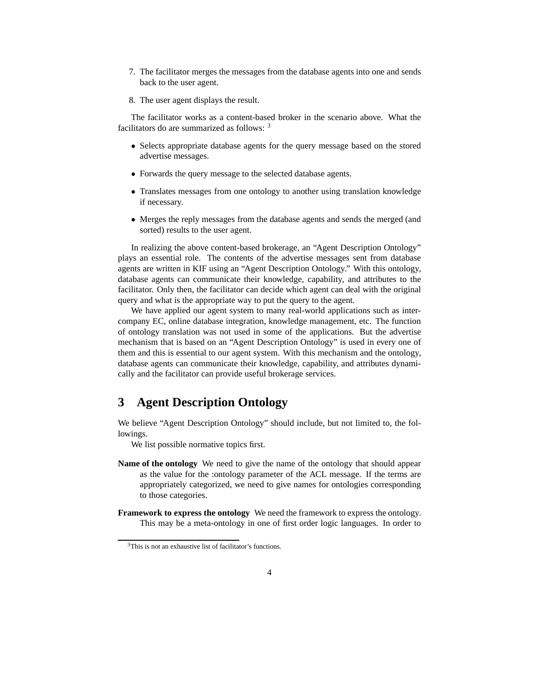- 7. The facilitator merges the messages from the database agents into one and sends back to the user agent.
- 8. The user agent displays the result.

The facilitator works as a content-based broker in the scenario above. What the facilitators do are summarized as follows: <sup>3</sup>

- Selects appropriate database agents for the query message based on the stored advertise messages.
- Forwards the query message to the selected database agents.
- Translates messages from one ontology to another using translation knowledge if necessary.
- Merges the reply messages from the database agents and sends the merged (and sorted) results to the user agent.

In realizing the above content-based brokerage, an "Agent Description Ontology" plays an essential role. The contents of the advertise messages sent from database agents are written in KIF using an "Agent Description Ontology." With this ontology, database agents can communicate their knowledge, capability, and attributes to the facilitator. Only then, the facilitator can decide which agent can deal with the original query and what is the appropriate way to put the query to the agent.

We have applied our agent system to many real-world applications such as intercompany EC, online database integration, knowledge management, etc. The function of ontology translation was not used in some of the applications. But the advertise mechanism that is based on an "Agent Description Ontology" is used in every one of them and this is essential to our agent system. With this mechanism and the ontology, database agents can communicate their knowledge, capability, and attributes dynamically and the facilitator can provide useful brokerage services.

#### **3 Agent Description Ontology**

We believe "Agent Description Ontology" should include, but not limited to, the followings.

We list possible normative topics first.

- **Name of the ontology** We need to give the name of the ontology that should appear as the value for the :ontology parameter of the ACL message. If the terms are appropriately categorized, we need to give names for ontologies corresponding to those categories.
- **Framework to express the ontology** We need the framework to express the ontology. This may be a meta-ontology in one of first order logic languages. In order to

<sup>3</sup>This is not an exhaustive list of facilitator's functions.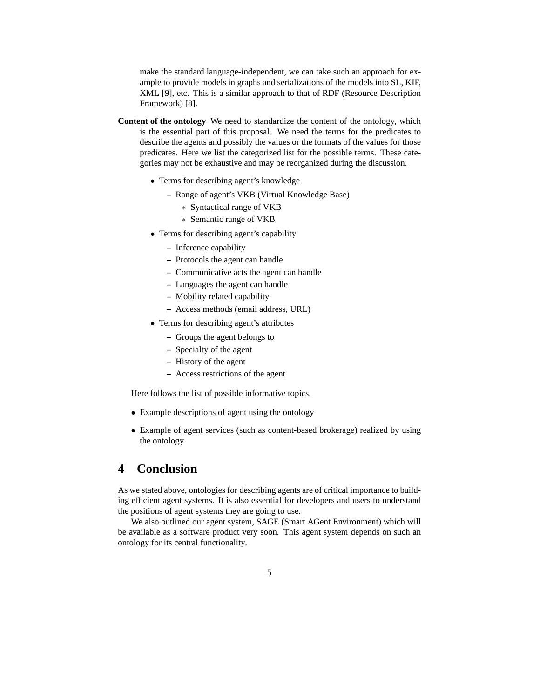make the standard language-independent, we can take such an approach for example to provide models in graphs and serializations of the models into SL, KIF, XML [9], etc. This is a similar approach to that of RDF (Resource Description Framework) [8].

- **Content of the ontology** We need to standardize the content of the ontology, which is the essential part of this proposal. We need the terms for the predicates to describe the agents and possibly the values or the formats of the values for those predicates. Here we list the categorized list for the possible terms. These categories may not be exhaustive and may be reorganized during the discussion.
	- Terms for describing agent's knowledge
		- **–** Range of agent's VKB (Virtual Knowledge Base)
			- ∗ Syntactical range of VKB
			- ∗ Semantic range of VKB
	- Terms for describing agent's capability
		- **–** Inference capability
		- **–** Protocols the agent can handle
		- **–** Communicative acts the agent can handle
		- **–** Languages the agent can handle
		- **–** Mobility related capability
		- **–** Access methods (email address, URL)
	- Terms for describing agent's attributes
		- **–** Groups the agent belongs to
		- **–** Specialty of the agent
		- **–** History of the agent
		- **–** Access restrictions of the agent

Here follows the list of possible informative topics.

- Example descriptions of agent using the ontology
- Example of agent services (such as content-based brokerage) realized by using the ontology

# **4 Conclusion**

As we stated above, ontologies for describing agents are of critical importance to building efficient agent systems. It is also essential for developers and users to understand the positions of agent systems they are going to use.

We also outlined our agent system, SAGE (Smart AGent Environment) which will be available as a software product very soon. This agent system depends on such an ontology for its central functionality.